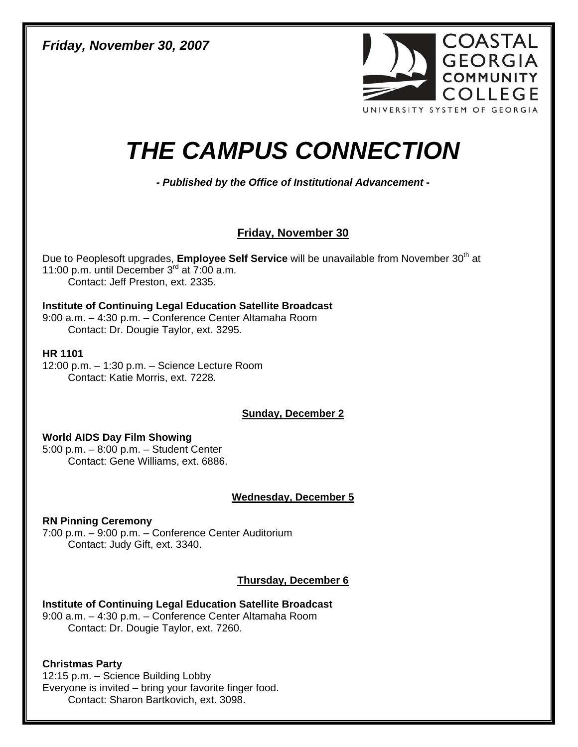*Friday, November 30, 2007* 



# *THE CAMPUS CONNECTION*

*- Published by the Office of Institutional Advancement* **-**

# **Friday, November 30**

Due to Peoplesoft upgrades, **Employee Self Service** will be unavailable from November 30<sup>th</sup> at 11:00 p.m. until December  $3^{rd}$  at  $7:00$  a.m. Contact: Jeff Preston, ext. 2335.

# **Institute of Continuing Legal Education Satellite Broadcast**

9:00 a.m. – 4:30 p.m. – Conference Center Altamaha Room Contact: Dr. Dougie Taylor, ext. 3295.

### **HR 1101**

12:00 p.m. – 1:30 p.m. – Science Lecture Room Contact: Katie Morris, ext. 7228.

**Sunday, December 2**

# **World AIDS Day Film Showing**

5:00 p.m. – 8:00 p.m. – Student Center Contact: Gene Williams, ext. 6886.

# **Wednesday, December 5**

**RN Pinning Ceremony**  7:00 p.m. – 9:00 p.m. – Conference Center Auditorium Contact: Judy Gift, ext. 3340.

# **Thursday, December 6**

**Institute of Continuing Legal Education Satellite Broadcast**  9:00 a.m. – 4:30 p.m. – Conference Center Altamaha Room Contact: Dr. Dougie Taylor, ext. 7260.

# **Christmas Party**

 12:15 p.m. – Science Building Lobby Everyone is invited – bring your favorite finger food. Contact: Sharon Bartkovich, ext. 3098.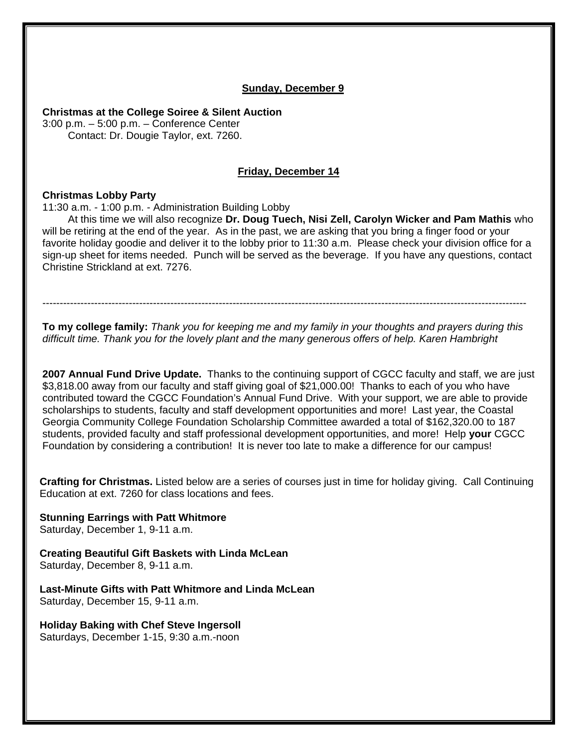#### **Sunday, December 9**

**Christmas at the College Soiree & Silent Auction** 

3:00 p.m. – 5:00 p.m. – Conference Center Contact: Dr. Dougie Taylor, ext. 7260.

#### **Friday, December 14**

#### **Christmas Lobby Party**

11:30 a.m. - 1:00 p.m. - Administration Building Lobby

At this time we will also recognize **Dr. Doug Tuech, Nisi Zell, Carolyn Wicker and Pam Mathis** who will be retiring at the end of the year. As in the past, we are asking that you bring a finger food or your favorite holiday goodie and deliver it to the lobby prior to 11:30 a.m. Please check your division office for a sign-up sheet for items needed. Punch will be served as the beverage. If you have any questions, contact Christine Strickland at ext. 7276.

--------------------------------------------------------------------------------------------------------------------------------------------

**To my college family:** *Thank you for keeping me and my family in your thoughts and prayers during this difficult time. Thank you for the lovely plant and the many generous offers of help. Karen Hambright* 

**2007 Annual Fund Drive Update.** Thanks to the continuing support of CGCC faculty and staff, we are just \$3,818.00 away from our faculty and staff giving goal of \$21,000.00! Thanks to each of you who have contributed toward the CGCC Foundation's Annual Fund Drive. With your support, we are able to provide scholarships to students, faculty and staff development opportunities and more! Last year, the Coastal Georgia Community College Foundation Scholarship Committee awarded a total of \$162,320.00 to 187 students, provided faculty and staff professional development opportunities, and more! Help **your** CGCC Foundation by considering a contribution! It is never too late to make a difference for our campus!

**Crafting for Christmas.** Listed below are a series of courses just in time for holiday giving. Call Continuing Education at ext. 7260 for class locations and fees.

**Stunning Earrings with Patt Whitmore**  Saturday, December 1, 9-11 a.m.

**Creating Beautiful Gift Baskets with Linda McLean**  Saturday, December 8, 9-11 a.m.

**Last-Minute Gifts with Patt Whitmore and Linda McLean**  Saturday, December 15, 9-11 a.m.

**Holiday Baking with Chef Steve Ingersoll**  Saturdays, December 1-15, 9:30 a.m.-noon